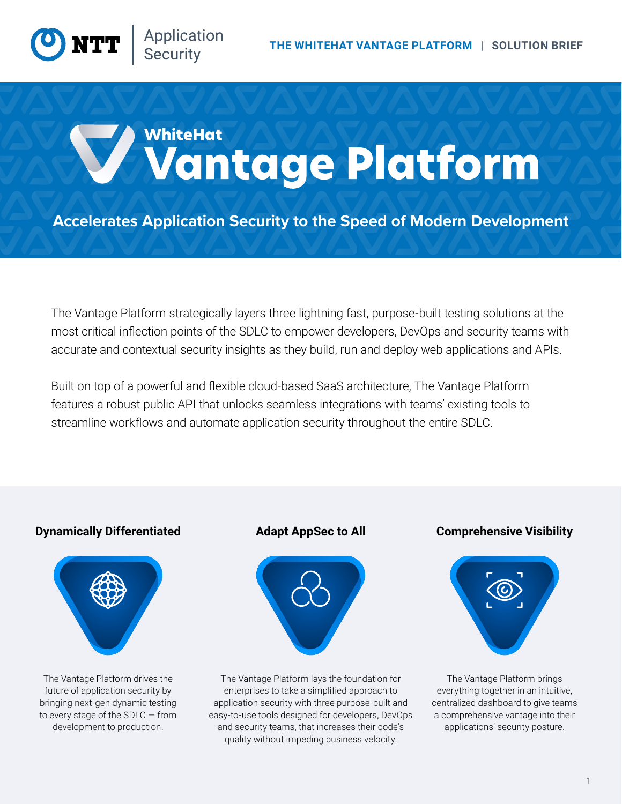# WhiteHat Wantage Platform

**Accelerates Application Security to the Speed of Modern Development**

The Vantage Platform strategically layers three lightning fast, purpose-built testing solutions at the most critical inflection points of the SDLC to empower developers, DevOps and security teams with accurate and contextual security insights as they build, run and deploy web applications and APIs.

Built on top of a powerful and flexible cloud-based SaaS architecture, The Vantage Platform features a robust public API that unlocks seamless integrations with teams' existing tools to streamline workflows and automate application security throughout the entire SDLC.

### **Dynamically Differentiated Adapt AppSec to All Comprehensive Visibility**



The Vantage Platform drives the future of application security by bringing next-gen dynamic testing to every stage of the SDLC — from development to production.



The Vantage Platform lays the foundation for enterprises to take a simplified approach to application security with three purpose-built and easy-to-use tools designed for developers, DevOps and security teams, that increases their code's quality without impeding business velocity.



The Vantage Platform brings everything together in an intuitive, centralized dashboard to give teams a comprehensive vantage into their applications' security posture.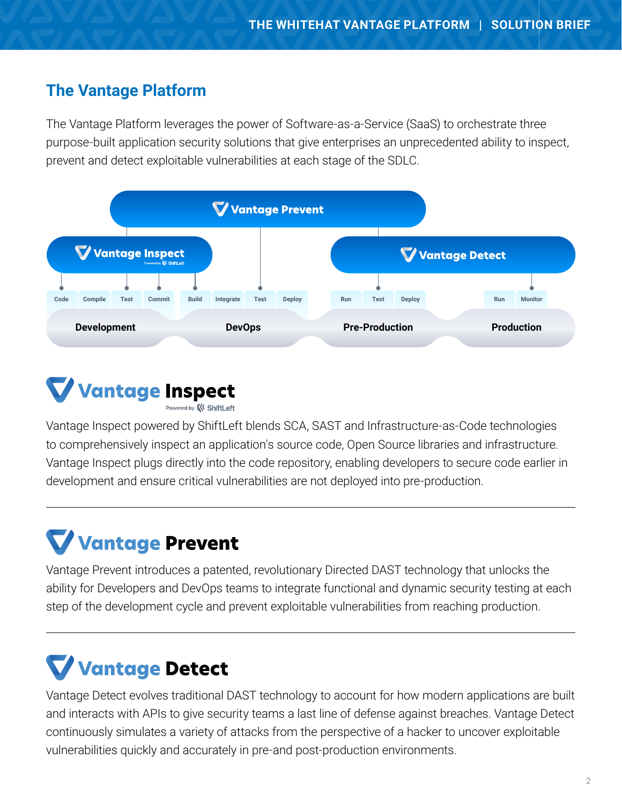## **The Vantage Platform**

The Vantage Platform leverages the power of Software-as-a-Service (SaaS) to orchestrate three purpose-built application security solutions that give enterprises an unprecedented ability to inspect, prevent and detect exploitable vulnerabilities at each stage of the SDLC.





Vantage Inspect powered by ShiftLeft blends SCA, SAST and Infrastructure-as-Code technologies to comprehensively inspect an application's source code, Open Source libraries and infrastructure. Vantage Inspect plugs directly into the code repository, enabling developers to secure code earlier in development and ensure critical vulnerabilities are not deployed into pre-production.

# **Vantage Prevent**

Vantage Prevent introduces a patented, revolutionary Directed DAST technology that unlocks the ability for Developers and DevOps teams to integrate functional and dynamic security testing at each step of the development cycle and prevent exploitable vulnerabilities from reaching production.

# **Vantage Detect**

Vantage Detect evolves traditional DAST technology to account for how modern applications are built and interacts with APIs to give security teams a last line of defense against breaches. Vantage Detect continuously simulates a variety of attacks from the perspective of a hacker to uncover exploitable vulnerabilities quickly and accurately in pre-and post-production environments.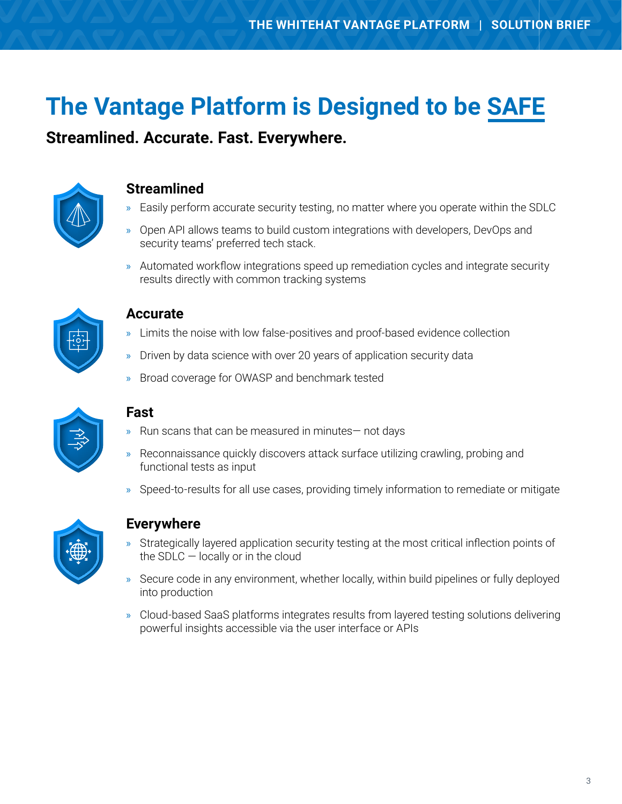# **The Vantage Platform is Designed to be SAFE**

**Streamlined. Accurate. Fast. Everywhere.**



## **Streamlined**

- » Easily perform accurate security testing, no matter where you operate within the SDLC
- » Open API allows teams to build custom integrations with developers, DevOps and security teams' preferred tech stack.
- » Automated workflow integrations speed up remediation cycles and integrate security results directly with common tracking systems



### **Accurate**

- » Limits the noise with low false-positives and proof-based evidence collection
- » Driven by data science with over 20 years of application security data
- » Broad coverage for OWASP and benchmark tested



### **Fast**

- » Run scans that can be measured in minutes— not days
- » Reconnaissance quickly discovers attack surface utilizing crawling, probing and functional tests as input
- » Speed-to-results for all use cases, providing timely information to remediate or mitigate



### **Everywhere**

- » Strategically layered application security testing at the most critical inflection points of the SDLC  $-$  locally or in the cloud
- » Secure code in any environment, whether locally, within build pipelines or fully deployed into production
- » Cloud-based SaaS platforms integrates results from layered testing solutions delivering powerful insights accessible via the user interface or APIs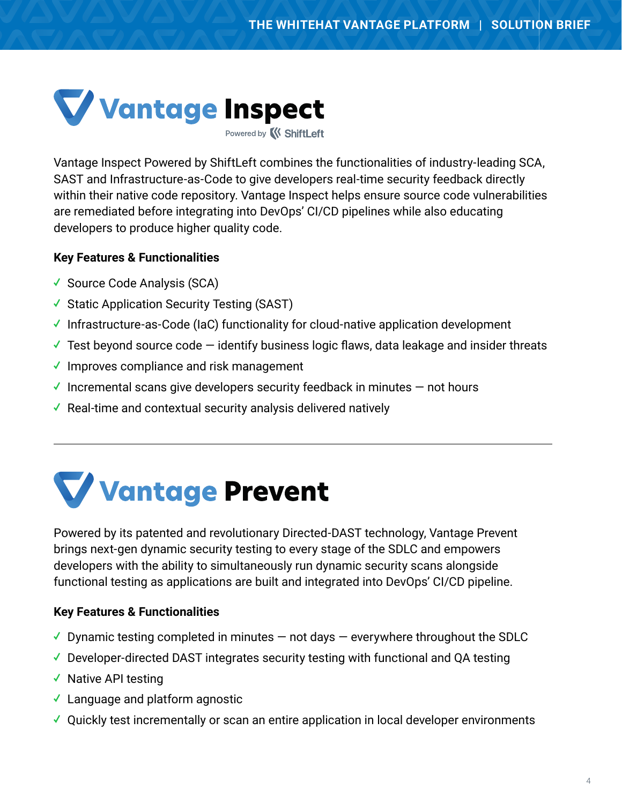

Powered by **K ShiftLeft** 

Vantage Inspect Powered by ShiftLeft combines the functionalities of industry-leading SCA, SAST and Infrastructure-as-Code to give developers real-time security feedback directly within their native code repository. Vantage Inspect helps ensure source code vulnerabilities are remediated before integrating into DevOps' CI/CD pipelines while also educating developers to produce higher quality code.

#### **Key Features & Functionalities**

- ✓ Source Code Analysis (SCA)
- ✓ Static Application Security Testing (SAST)
- ✓ Infrastructure-as-Code (IaC) functionality for cloud-native application development
- $\checkmark$  Test beyond source code  $-$  identify business logic flaws, data leakage and insider threats
- ✓ Improves compliance and risk management
- $\checkmark$  Incremental scans give developers security feedback in minutes  $-$  not hours
- ✓ Real-time and contextual security analysis delivered natively

# **Vantage Prevent**

Powered by its patented and revolutionary Directed-DAST technology, Vantage Prevent brings next-gen dynamic security testing to every stage of the SDLC and empowers developers with the ability to simultaneously run dynamic security scans alongside functional testing as applications are built and integrated into DevOps' CI/CD pipeline.

### **Key Features & Functionalities**

- $\checkmark$  Dynamic testing completed in minutes  $-$  not days  $-$  everywhere throughout the SDLC
- ✓ Developer-directed DAST integrates security testing with functional and QA testing
- ✓ Native API testing
- ✓ Language and platform agnostic
- ✓ Quickly test incrementally or scan an entire application in local developer environments